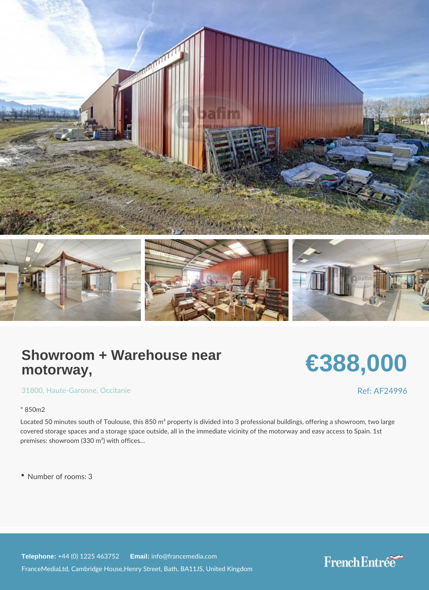## Showroom + Warehouse near motorway,

# €388,000

[3180](https://www.frenchentree.com/property-for-sale/property-for-sale-france/31800-xx--xx-haute-garonne-xx-occitanie)[, Haute-Gar](https://www.frenchentree.com/property-for-sale/property-for-sale-france/haute-garonne-xx-occitanie), Oncroeitanie

\* 850m2

Located 50 minutes south of Toulouse, this 850 m<sup>2</sup> property is divided into 3 profession covered storage spaces and a storage space outside, all in the immediate vicinity of the premises: showroom (330 m²) with offices &

Number of rooms: 3

Telephone:  $+44$  (0) 1225 46 Ematilian fo@francemedia.com FranceMediaLtd, Cambridge House,Henry Street, Bath, BA11JS, United Kingdom

Ref: AF24996